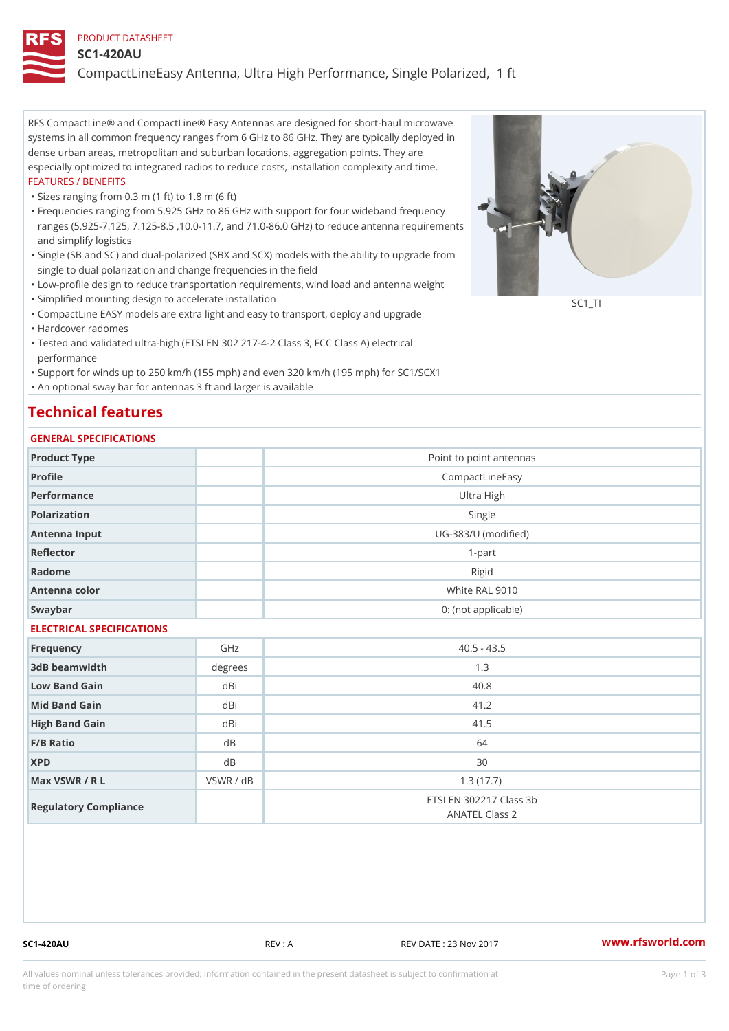#### PRODUCT DATASHEET

#### SC1-420AU

CompactLineEasy Antenna, Ultra High Performance, Single Polarized,

RFS CompactLine® and CompactLine® Easy Antennas are designed for short-haul microwave systems in all common frequency ranges from 6 GHz to 86 GHz. They are typically deployed in dense urban areas, metropolitan and suburban locations, aggregation points. They are especially optimized to integrated radios to reduce costs, installation complexity and time. FEATURES / BENEFITS

"Sizes ranging from 0.3 m (1 ft) to 1.8 m (6 ft)

- Frequencies ranging from 5.925 GHz to 86 GHz with support for four wideband frequency " ranges (5.925-7.125, 7.125-8.5 ,10.0-11.7, and 71.0-86.0 GHz) to reduce antenna requirements and simplify logistics
- Single (SB and SC) and dual-polarized (SBX and SCX) models with the ability to upgrade from " single to dual polarization and change frequencies in the field
- "Low-profile design to reduce transportation requirements, wind load and antenna weight
- "Simplified mounting design to accelerate installation

 "CompactLine EASY models are extra light and easy to transport, deploy and upgrade "Hardcover radomes

Tested and validated ultra-high (ETSI EN 302 217-4-2 Class 3, FCC Class A) electrical " performance

 "Support for winds up to 250 km/h (155 mph) and even 320 km/h (195 mph) for SC1/SCX1 "An optional sway bar for antennas 3 ft and larger is available

# Technical features

### GENERAL SPECIFICATIONS

| OLIVLINAL OI LOII IOA I IONO |           |                                           |  |  |  |  |
|------------------------------|-----------|-------------------------------------------|--|--|--|--|
| Product Type                 |           | Point to point antennas                   |  |  |  |  |
| Profile                      |           | CompactLineEasy                           |  |  |  |  |
| Performance                  |           | Ultra High                                |  |  |  |  |
| Polarization                 |           | Single                                    |  |  |  |  |
| Antenna Input                |           | UG-383/U (modified)                       |  |  |  |  |
| Reflector                    |           | $1 - p$ art                               |  |  |  |  |
| Radome                       |           | Rigid                                     |  |  |  |  |
| Antenna color                |           | White RAL 9010                            |  |  |  |  |
| Swaybar                      |           | 0: (not applicable)                       |  |  |  |  |
| ELECTRICAL SPECIFICATIONS    |           |                                           |  |  |  |  |
| Frequency                    | GHz       | $40.5 - 43.5$                             |  |  |  |  |
| 3dB beamwidth                | degrees   | 1.3                                       |  |  |  |  |
| Low Band Gain                | dBi       | 40.8                                      |  |  |  |  |
| Mid Band Gain                | dBi       | 41.2                                      |  |  |  |  |
| High Band Gain               | dBi       | 41.5                                      |  |  |  |  |
| F/B Ratio                    | $d$ B     | 64                                        |  |  |  |  |
| <b>XPD</b>                   | d B       | 30                                        |  |  |  |  |
| Max VSWR / R L               | VSWR / dB | 1.3(17.7)                                 |  |  |  |  |
| Regulatory Compliance        |           | ETSI EN 302217 Class 3b<br>ANATEL Class 2 |  |  |  |  |

SC1-420AU REV : A REV DATE : 23 Nov 2017 [www.](https://www.rfsworld.com)rfsworld.com

SC<sub>1</sub>TI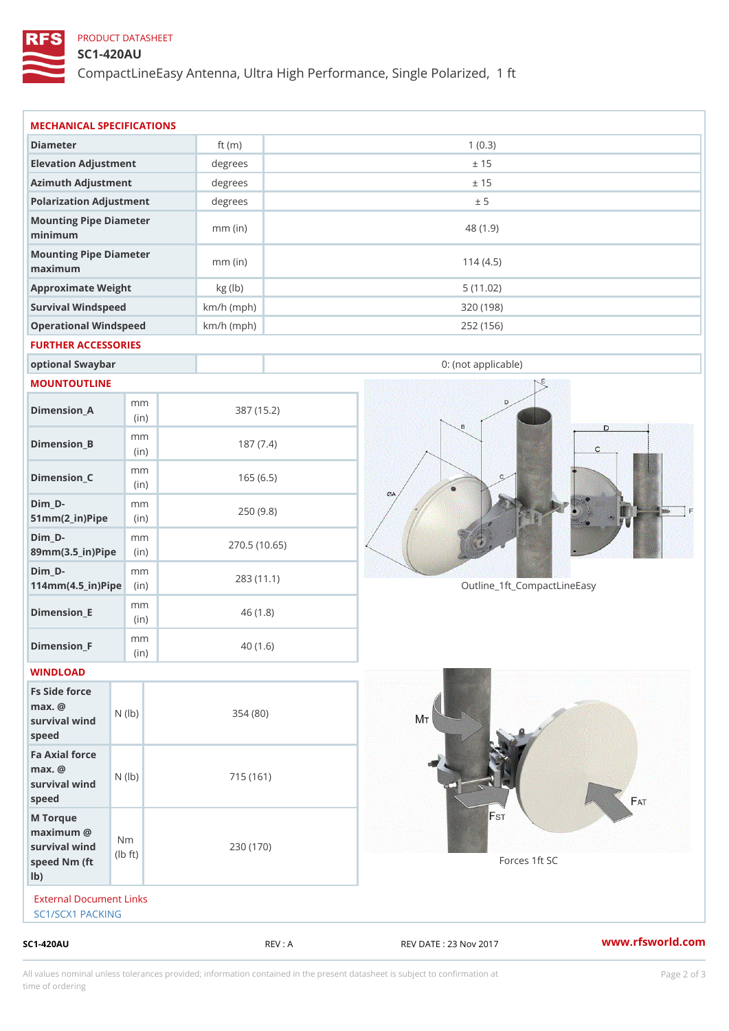### PRODUCT DATASHEET

# SC1-420AU

CompactLineEasy Antenna, Ultra High Performance, Single Polarized,

| $SC1 - 420AU$                                                      |                                   |              | REV : A      | REV DATE : 23 Nov 2017      | www.rfsworld.co |
|--------------------------------------------------------------------|-----------------------------------|--------------|--------------|-----------------------------|-----------------|
| External Document Links<br>SC1/SCX1 PACKING                        |                                   |              |              |                             |                 |
| M Torque<br>$maximum$ @<br>survival wind<br>speed Nm (ft<br>$1b$ ) | N <sub>m</sub><br>$\pm$ t)<br>l b | 230 (170)    |              | Forces 1ft SC               |                 |
| Fa Axial force<br>$max.$ @<br>survival wind (1b)<br>speed          |                                   | 715 (161)    |              |                             |                 |
| Fs Side force<br>$max.$ @<br>survival wind (1b)<br>speed           |                                   | 354(80)      |              |                             |                 |
| WINDLOAD                                                           |                                   |              |              |                             |                 |
| $Dimension_F$                                                      | m m<br>(in)                       |              | 40(1.6)      |                             |                 |
| $Dimension$ _ $E$                                                  | m m<br>(in)                       |              | 46(1.8)      |                             |                 |
| $Dim_D - D -$<br>$114$ m m (4.5 _ ir ) $\sqrt{$ ii p $\sqrt{ }$    | m m                               |              | 283 (11.1)   | Outline_1ft_CompactLineEasy |                 |
| $Dim_D - D -$<br>89mm (3.5_in) Pi(pine)                            | m m                               |              | 270.5(10.65) |                             |                 |
| $Dim_D -$<br>$51mm(2_in)Pip@in$                                    | m m                               |              | 250(9.8)     |                             |                 |
| $Dimension_C$                                                      | m m<br>(in)                       |              | 165(6.5)     |                             |                 |
| $Dimension_B$                                                      | m m<br>(in)                       |              | 187(7.4)     |                             |                 |
| $Dimension_A$                                                      | m m<br>(in)                       |              | 387 (15.2)   |                             |                 |
| MOUNTOUTLINE                                                       |                                   |              |              |                             |                 |
| optional Swaybar                                                   |                                   |              |              | 0: (not applicable)         |                 |
| FURTHER ACCESSORIES                                                |                                   |              |              |                             |                 |
| Operational Windspeed                                              |                                   | $km/h$ (mph) |              | 252 (156)                   |                 |
| Survival Windspeed                                                 |                                   | $km/h$ (mph) |              | 320 (198)                   |                 |
| maximum<br>Approximate Weight                                      |                                   | kg (lb)      |              | 5(11.02)                    |                 |
| minimum<br>Mounting Pipe Diameter                                  |                                   | $mm$ (in)    |              | 114(4.5)                    |                 |
| Mounting Pipe Diameter                                             |                                   | $mm$ (in)    |              | 48 (1.9)                    |                 |
| Polarization Adjustment                                            |                                   | degrees      |              | ± 5                         |                 |
| Azimuth Adjustment                                                 |                                   | degrees      |              | ± 15                        |                 |
| Elevation Adjustment                                               |                                   | degrees      |              | ± 15                        |                 |
| Diameter                                                           |                                   | ft $(m)$     |              | 1(0.3)                      |                 |

All values nominal unless tolerances provided; information contained in the present datasheet is subject to Pcapgelio an atio time of ordering